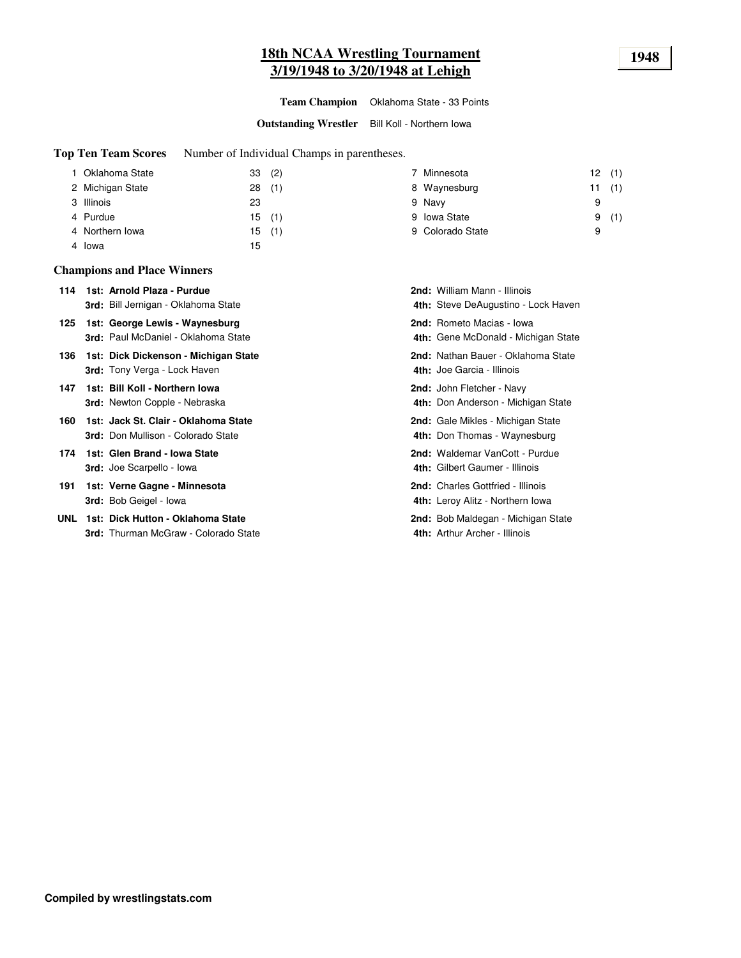## **18th NCAA Wrestling Tournament 1948 3/19/1948 to 3/20/1948 at Lehigh**

**Team Champion** Oklahoma State - 33 Points

**Outstanding Wrestler** Bill Koll - Northern Iowa

**Top Ten Team Scores** Number of Individual Champs in parentheses.

| Oklahoma State   | 33(2) |     | 7 Minnesota      | 12(1) |     |
|------------------|-------|-----|------------------|-------|-----|
| 2 Michigan State | 28    | (1) | 8 Waynesburg     | 11    | (1) |
| 3 Illinois       | 23    |     | 9 Navy           | 9     |     |
| 4 Purdue         | 15(1) |     | 9 Iowa State     | 9     | (1) |
| 4 Northern Iowa  | 15    | (1) | 9 Colorado State | 9     |     |
| 4 lowa           | 15    |     |                  |       |     |

#### **Champions and Place Winners**

| 114 1st: Arnold Plaza - Purdue             | <b>2nd:</b> William Mann - Illinois |
|--------------------------------------------|-------------------------------------|
| <b>3rd:</b> Bill Jernigan - Oklahoma State | 4th: Steve DeAugustino - I          |

- **125 1st: George Lewis Waynesburg Review Review Macias Iowa <b>2nd:** Rometo Macias Iowa 3rd: Paul McDaniel - Oklahoma State
- **136 1st: Dick Dickenson Michigan State** Nathan Bauer Oklahoma State 3rd: Tony Verga - Lock Haven
- **147 1st: Bill Koll Northern Iowa** John Fletcher Navy 3rd: Newton Copple - Nebraska
- **160 1st: Jack St. Clair Oklahoma State** Gale Michigan State **Cale Mikles Michigan State 3rd: Don Mullison - Colorado State**
- **174 1st: Glen Brand Iowa State** Manus Communication and **Proporting Communication** 2nd: Waldemar VanCott Purdue 3rd: Joe Scarpello - Iowa
- **191 Verne Gagne - Minnesota** Charles Gottfried Illinois **1st: 2nd:** 3rd: Bob Geigel - Iowa
- **UNL 1st: Dick Hutton Oklahoma State Bob Maldegan Michigan State Bob Maldegan Michigan State** 3rd: Thurman McGraw - Colorado State

| 2nd: William Mann - Illinois<br>4th: Steve DeAugustino - Lock Haven          |
|------------------------------------------------------------------------------|
| 2nd: Rometo Macias - Iowa<br>4th: Gene McDonald - Michigan State             |
| 2nd: Nathan Bauer - Oklahoma State<br>4th: Joe Garcia - Illinois             |
| <b>2nd:</b> John Fletcher - Navy<br>4th: Don Anderson - Michigan State       |
| <b>2nd:</b> Gale Mikles - Michigan State<br>4th: Don Thomas - Waynesburg     |
| 2nd: Waldemar VanCott - Purdue<br>4th: Gilbert Gaumer - Illinois             |
| <b>2nd:</b> Charles Gottfried - Illinois<br>4th: Leroy Alitz - Northern Iowa |
| <b>2nd:</b> Bob Maldegan - Michigan State<br>4th: Arthur Archer - Illinois   |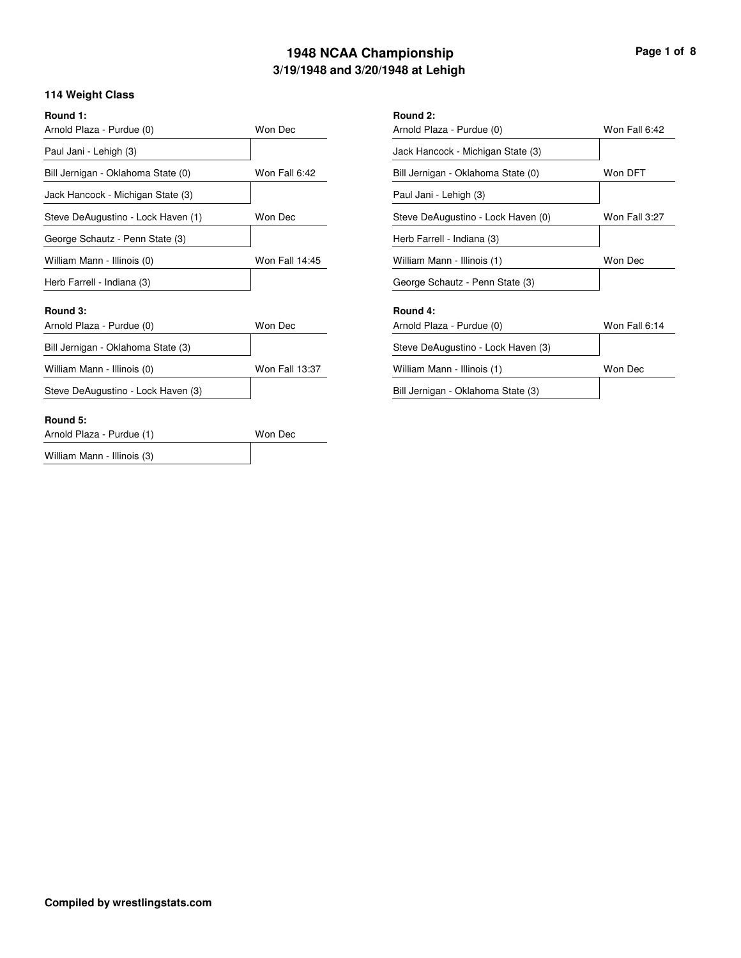## **3/19/1948 and 3/20/1948 at Lehigh 1948 NCAA Championship Page 1 of 8**

## **114 Weight Class**

| Round 1:<br>Arnold Plaza - Purdue (0) | Won Dec               | Round 2:<br>Arnold Pla |
|---------------------------------------|-----------------------|------------------------|
| Paul Jani - Lehigh (3)                |                       | Jack Han               |
| Bill Jernigan - Oklahoma State (0)    | Won Fall 6:42         | <b>Bill Jernig</b>     |
| Jack Hancock - Michigan State (3)     |                       | Paul Jani              |
| Steve DeAugustino - Lock Haven (1)    | Won Dec               | Steve De               |
| George Schautz - Penn State (3)       |                       | <b>Herb Farr</b>       |
| William Mann - Illinois (0)           | <b>Won Fall 14:45</b> | William M              |
| Herb Farrell - Indiana (3)            |                       | George S               |
| Round 3:                              |                       | Round 4:               |
| Arnold Plaza - Purdue (0)             | Won Dec               | Arnold Pla             |
| Bill Jernigan - Oklahoma State (3)    |                       | Steve De               |
| William Mann - Illinois (0)           | Won Fall 13:37        | William M              |
| Steve DeAugustino - Lock Haven (3)    |                       | <b>Bill Jernig</b>     |
| Round 5:                              |                       |                        |
| Arnold Plaza - Purdue (1)             | Won Dec               |                        |
| William Mann - Illinois (3)           |                       |                        |

| Round 2:                           |               |
|------------------------------------|---------------|
| Arnold Plaza - Purdue (0)          | Won Fall 6:42 |
| Jack Hancock - Michigan State (3)  |               |
| Bill Jernigan - Oklahoma State (0) | Won DFT       |
| Paul Jani - Lehigh (3)             |               |
| Steve DeAugustino - Lock Haven (0) | Won Fall 3:27 |
| Herb Farrell - Indiana (3)         |               |
| William Mann - Illinois (1)        | Won Dec       |
| George Schautz - Penn State (3)    |               |
| Round 4:                           |               |
| Arnold Plaza - Purdue (0)          | Won Fall 6:14 |
| Steve DeAugustino - Lock Haven (3) |               |
| William Mann - Illinois (1)        | Won Dec       |
| Bill Jernigan - Oklahoma State (3) |               |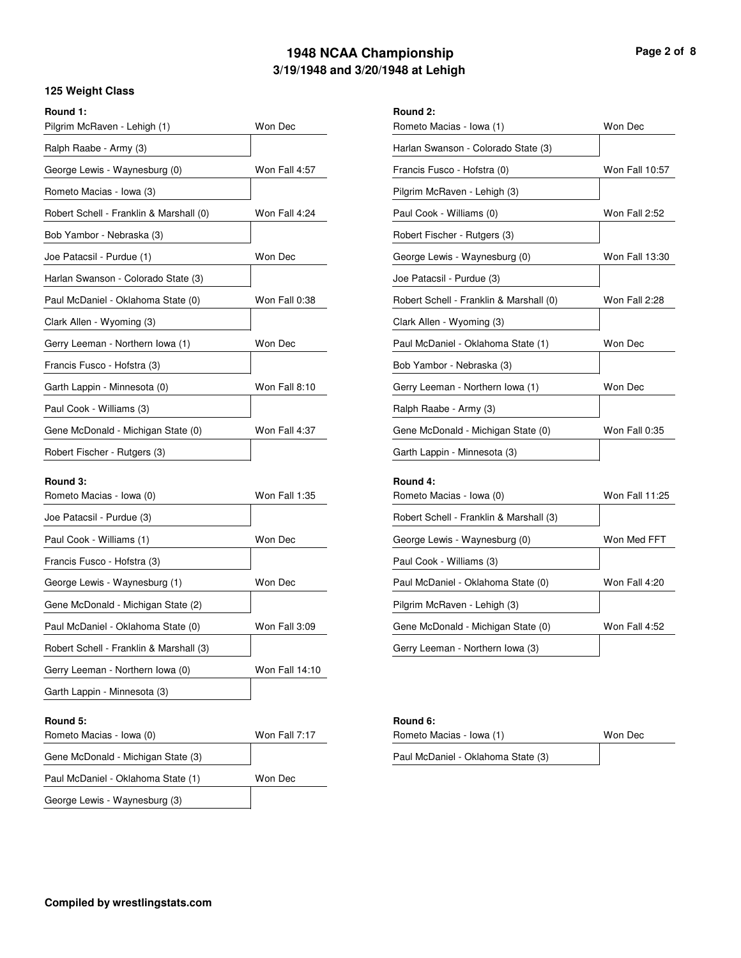## **3/19/1948 and 3/20/1948 at Lehigh 1948 NCAA Championship Page 2 of 8**

### **125 Weight Class**

| Round 1:<br>Pilgrim McRaven - Lehigh (1) | Won Dec        | Round 2:<br>Rometo N |
|------------------------------------------|----------------|----------------------|
| Ralph Raabe - Army (3)                   |                | Harlan Sv            |
| George Lewis - Waynesburg (0)            | Won Fall 4:57  | Francis F            |
| Rometo Macias - Iowa (3)                 |                | Pilgrim M            |
| Robert Schell - Franklin & Marshall (0)  | Won Fall 4:24  | Paul Cool            |
| Bob Yambor - Nebraska (3)                |                | <b>Robert Fis</b>    |
| Joe Patacsil - Purdue (1)                | Won Dec        | George L             |
| Harlan Swanson - Colorado State (3)      |                | Joe Patac            |
| Paul McDaniel - Oklahoma State (0)       | Won Fall 0:38  | <b>Robert So</b>     |
| Clark Allen - Wyoming (3)                |                | Clark Alle           |
| Gerry Leeman - Northern Iowa (1)         | Won Dec        | Paul McD             |
| Francis Fusco - Hofstra (3)              |                | <b>Bob Yaml</b>      |
| Garth Lappin - Minnesota (0)             | Won Fall 8:10  | Gerry Lee            |
| Paul Cook - Williams (3)                 |                | Ralph Ra             |
| Gene McDonald - Michigan State (0)       | Won Fall 4:37  | Gene McI             |
| Robert Fischer - Rutgers (3)             |                | Garth Lap            |
| Round 3:<br>Rometo Macias - Iowa (0)     | Won Fall 1:35  | Round 4:<br>Rometo N |
| Joe Patacsil - Purdue (3)                |                | <b>Robert So</b>     |
| Paul Cook - Williams (1)                 | Won Dec        | George L             |
| Francis Fusco - Hofstra (3)              |                | Paul Cool            |
| George Lewis - Waynesburg (1)            | Won Dec        | Paul McD             |
| Gene McDonald - Michigan State (2)       |                | Pilgrim M            |
| Paul McDaniel - Oklahoma State (0)       | Won Fall 3:09  | Gene McI             |
| Robert Schell - Franklin & Marshall (3)  |                | Gerry Lee            |
| Gerry Leeman - Northern Iowa (0)         | Won Fall 14:10 |                      |
| Garth Lappin - Minnesota (3)             |                |                      |
| Round 5:                                 |                | <b>Round 6:</b>      |

| Rometo Macias - Iowa (1)                | Won Dec        |
|-----------------------------------------|----------------|
| Harlan Swanson - Colorado State (3)     |                |
| Francis Fusco - Hofstra (0)             | Won Fall 10:57 |
| Pilgrim McRaven - Lehigh (3)            |                |
| Paul Cook - Williams (0)                | Won Fall 2:52  |
| Robert Fischer - Rutgers (3)            |                |
| George Lewis - Waynesburg (0)           | Won Fall 13:30 |
| Joe Patacsil - Purdue (3)               |                |
| Robert Schell - Franklin & Marshall (0) | Won Fall 2:28  |
| Clark Allen - Wyoming (3)               |                |
| Paul McDaniel - Oklahoma State (1)      | Won Dec        |
| Bob Yambor - Nebraska (3)               |                |
| Gerry Leeman - Northern Iowa (1)        | Won Dec        |
| Ralph Raabe - Army (3)                  |                |
| Gene McDonald - Michigan State (0)      | Won Fall 0:35  |
| Garth Lappin - Minnesota (3)            |                |
| Round 4:                                |                |
| Rometo Macias - Iowa (0)                | Won Fall 11:25 |
| Robert Schell - Franklin & Marshall (3) |                |
| George Lewis - Waynesburg (0)           | Won Med FFT    |
| Paul Cook - Williams (3)                |                |
| Paul McDaniel - Oklahoma State (0)      | Won Fall 4:20  |
| Pilgrim McRaven - Lehigh (3)            |                |
| Gene McDonald - Michigan State (0)      | Won Fall 4:52  |
| Gerry Leeman - Northern Iowa (3)        |                |

## **Round 5: Round 6:**

Won Fall 7:17

Won Dec

| Rometo Macias - Iowa (1)           | Won Dec |
|------------------------------------|---------|
| Paul McDaniel - Oklahoma State (3) |         |

Rometo Macias - Iowa (0)

Gene McDonald - Michigan State (3)

Paul McDaniel - Oklahoma State (1) George Lewis - Waynesburg (3)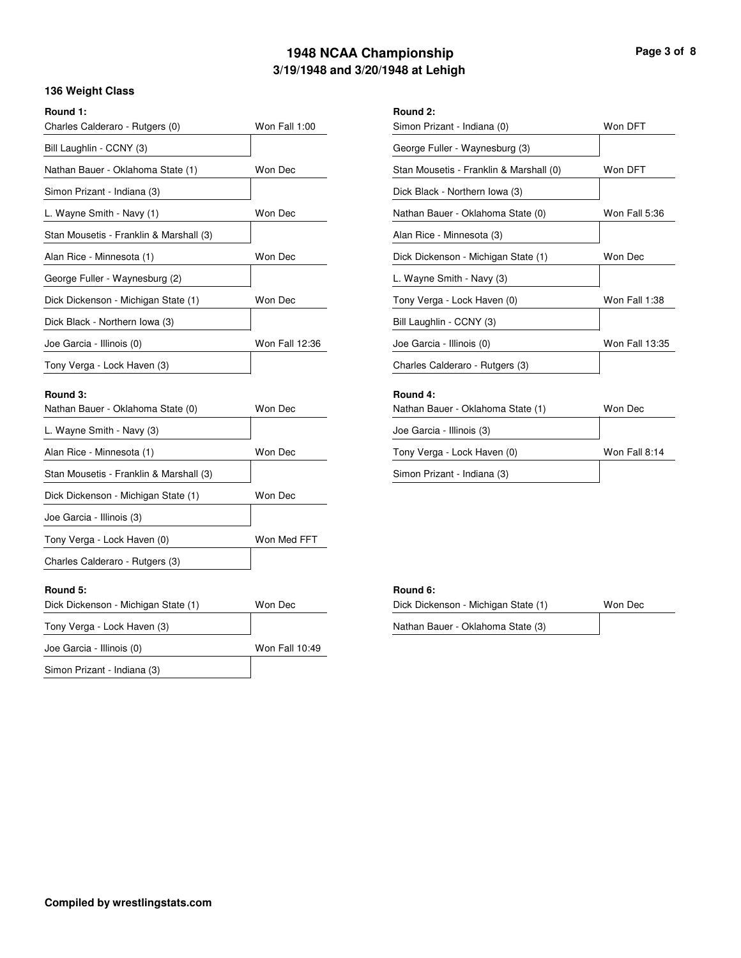## **3/19/1948 and 3/20/1948 at Lehigh 1948 NCAA Championship Page 3 of 8**

## **136 Weight Class**

| <b>136 Weight Class</b>                       |                       |                       |
|-----------------------------------------------|-----------------------|-----------------------|
| Round 1:<br>Charles Calderaro - Rutgers (0)   | Won Fall 1:00         | Round 2:<br>Simon Pri |
| Bill Laughlin - CCNY (3)                      |                       | George F              |
| Nathan Bauer - Oklahoma State (1)             | Won Dec               | Stan Mou              |
| Simon Prizant - Indiana (3)                   |                       | Dick Blac             |
| L. Wayne Smith - Navy (1)                     | Won Dec               | Nathan Ba             |
| Stan Mousetis - Franklin & Marshall (3)       |                       | Alan Rice             |
| Alan Rice - Minnesota (1)                     | Won Dec               | Dick Dick             |
| George Fuller - Waynesburg (2)                |                       | L. Wayne              |
| Dick Dickenson - Michigan State (1)           | Won Dec               | Tony Verg             |
| Dick Black - Northern Iowa (3)                |                       | <b>Bill Laugh</b>     |
| Joe Garcia - Illinois (0)                     | <b>Won Fall 12:36</b> | Joe Garci             |
| Tony Verga - Lock Haven (3)                   |                       | Charles C             |
| Round 3:<br>Nathan Bauer - Oklahoma State (0) | Won Dec               | Round 4:<br>Nathan Ba |
| L. Wayne Smith - Navy (3)                     |                       | Joe Garci             |

| Simon Prizant - Indiana (0)             | Won DFT        |
|-----------------------------------------|----------------|
| George Fuller - Waynesburg (3)          |                |
| Stan Mousetis - Franklin & Marshall (0) | Won DFT        |
| Dick Black - Northern Iowa (3)          |                |
| Nathan Bauer - Oklahoma State (0)       | Won Fall 5:36  |
| Alan Rice - Minnesota (3)               |                |
| Dick Dickenson - Michigan State (1)     | Won Dec        |
| L. Wayne Smith - Navy (3)               |                |
| Tony Verga - Lock Haven (0)             | Won Fall 1:38  |
| Bill Laughlin - CCNY (3)                |                |
| Joe Garcia - Illinois (0)               | Won Fall 13:35 |
| Charles Calderaro - Rutgers (3)         |                |
| Round 4:                                |                |
| Nathan Bauer - Oklahoma State (1)       | Won Dec        |
| Joe Garcia - Illinois (3)               |                |
| Tony Verga - Lock Haven (0)             | Won Fall 8:14  |
| Simon Prizant - Indiana (3)             |                |

#### **Round 5: Round 6:**

| Dick Dickenson - Michigan State (1) | Won Dec |  |  |
|-------------------------------------|---------|--|--|
| Nathan Bauer - Oklahoma State (3)   |         |  |  |

Alan Rice - Minnesota (1)

Joe Garcia - Illinois (3)

Tony Verga - Lock Haven (0) Charles Calderaro - Rutgers (3)

Stan Mousetis - Franklin & Marshall (3)

Dick Dickenson - Michigan State (1)

| Dick Dickenson - Michigan State (1) | Won Dec        |
|-------------------------------------|----------------|
| Tony Verga - Lock Haven (3)         |                |
| Joe Garcia - Illinois (0)           | Won Fall 10:49 |
| Simon Prizant - Indiana (3)         |                |

Won Dec

Won Dec

Won Med FFT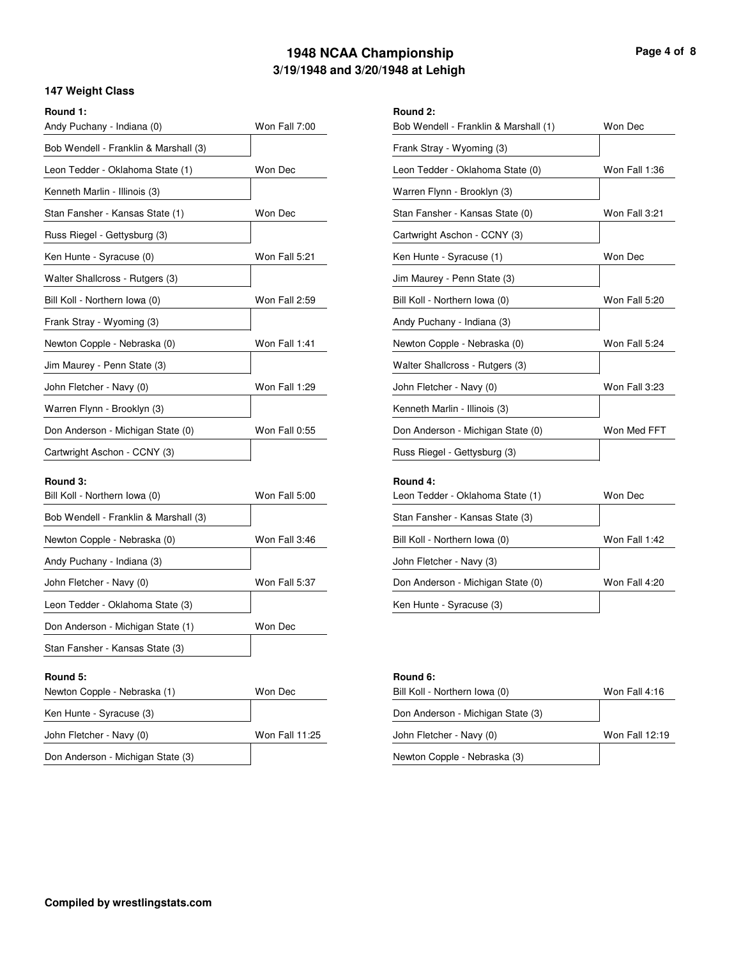## **3/19/1948 and 3/20/1948 at Lehigh 1948 NCAA Championship Page 4 of 8**

Won Dec

#### **147 Weight Class**

| Round 1: |  |
|----------|--|
|          |  |
|          |  |

| Round 1:                                  |               | Round 2:             |
|-------------------------------------------|---------------|----------------------|
| Andy Puchany - Indiana (0)                | Won Fall 7:00 | <b>Bob Wen</b>       |
| Bob Wendell - Franklin & Marshall (3)     |               | Frank Stra           |
| Leon Tedder - Oklahoma State (1)          | Won Dec       | Leon Ted             |
| Kenneth Marlin - Illinois (3)             |               | Warren F             |
| Stan Fansher - Kansas State (1)           | Won Dec       | <b>Stan Fans</b>     |
| Russ Riegel - Gettysburg (3)              |               | Cartwrigh            |
| Ken Hunte - Syracuse (0)                  | Won Fall 5:21 | Ken Hunt             |
| Walter Shallcross - Rutgers (3)           |               | Jim Maure            |
| Bill Koll - Northern Iowa (0)             | Won Fall 2:59 | Bill Koll -          |
| Frank Stray - Wyoming (3)                 |               | Andy Puc             |
| Newton Copple - Nebraska (0)              | Won Fall 1:41 | Newton C             |
| Jim Maurey - Penn State (3)               |               | <b>Walter Sh</b>     |
| John Fletcher - Navy (0)                  | Won Fall 1:29 | John Flet            |
| Warren Flynn - Brooklyn (3)               |               | Kenneth N            |
| Don Anderson - Michigan State (0)         | Won Fall 0:55 | Don Ande             |
| Cartwright Aschon - CCNY (3)              |               | <b>Russ Ried</b>     |
| Round 3:<br>Bill Koll - Northern Iowa (0) | Won Fall 5:00 | Round 4:<br>Leon Ted |
| Bob Wendell - Franklin & Marshall (3)     |               | Stan Fans            |
| Newton Copple - Nebraska (0)              | Won Fall 3:46 | Bill Koll -          |

| Frank Stray - Wyoming (3)         |               |
|-----------------------------------|---------------|
| Leon Tedder - Oklahoma State (0)  | Won Fall 1:36 |
| Warren Flynn - Brooklyn (3)       |               |
| Stan Fansher - Kansas State (0)   | Won Fall 3:21 |
| Cartwright Aschon - CCNY (3)      |               |
| Ken Hunte - Syracuse (1)          | Won Dec       |
| Jim Maurey - Penn State (3)       |               |
| Bill Koll - Northern Iowa (0)     | Won Fall 5:20 |
| Andy Puchany - Indiana (3)        |               |
| Newton Copple - Nebraska (0)      | Won Fall 5:24 |
| Walter Shallcross - Rutgers (3)   |               |
| John Fletcher - Navy (0)          | Won Fall 3:23 |
| Kenneth Marlin - Illinois (3)     |               |
| Don Anderson - Michigan State (0) | Won Med FFT   |
| Russ Riegel - Gettysburg (3)      |               |
| Round 4:                          |               |
| Leon Tedder - Oklahoma State (1)  | Won Dec       |
| Stan Fansher - Kansas State (3)   |               |
| Bill Koll - Northern Iowa (0)     | Won Fall 1:42 |
| John Fletcher - Navy (3)          |               |
| Don Anderson - Michigan State (0) | Won Fall 4:20 |
|                                   |               |

Bob Wendell - Franklin & Marshall (1)

Ken Hunte - Syracuse (3)

| Round 5:                          |                | Round 6:    |
|-----------------------------------|----------------|-------------|
| Newton Copple - Nebraska (1)      | Won Dec        | Bill Koll - |
| Ken Hunte - Syracuse (3)          |                | Don Ande    |
| John Fletcher - Navy (0)          | Won Fall 11:25 | John Flet   |
| Don Anderson - Michigan State (3) |                | Newton C    |

Won Fall 5:37

Won Dec

| Round 6:                          |                |
|-----------------------------------|----------------|
| Bill Koll - Northern Iowa (0)     | Won Fall 4:16  |
| Don Anderson - Michigan State (3) |                |
| John Fletcher - Navy (0)          | Won Fall 12:19 |
| Newton Copple - Nebraska (3)      |                |
|                                   |                |

Andy Puchany - Indiana (3)

Leon Tedder - Oklahoma State (3)

Don Anderson - Michigan State (1) Stan Fansher - Kansas State (3)

John Fletcher - Navy (0)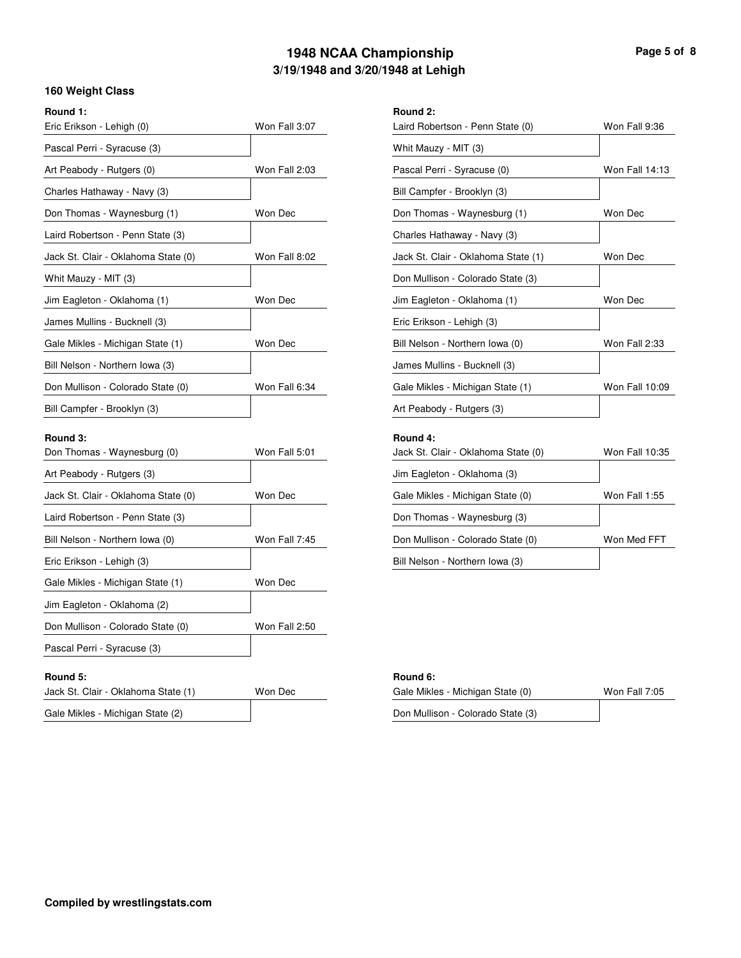## **3/19/1948 and 3/20/1948 at Lehigh 1948 NCAA Championship Page 5 of 8**

#### **160 Weight Class**

|  | Round |  |
|--|-------|--|
|  |       |  |

| Round 1:                                |               | Round 2:               |
|-----------------------------------------|---------------|------------------------|
| Eric Erikson - Lehigh (0)               | Won Fall 3:07 | Laird Rob              |
| Pascal Perri - Syracuse (3)             |               | Whit Mau               |
| Art Peabody - Rutgers (0)               | Won Fall 2:03 | Pascal Pe              |
| Charles Hathaway - Navy (3)             |               | <b>Bill Camp</b>       |
| Don Thomas - Waynesburg (1)             | Won Dec       | Don Thon               |
| Laird Robertson - Penn State (3)        |               | Charles H              |
| Jack St. Clair - Oklahoma State (0)     | Won Fall 8:02 | Jack St. C             |
| Whit Mauzy - MIT (3)                    |               | Don Mullis             |
| Jim Eagleton - Oklahoma (1)             | Won Dec       | Jim Eagle              |
| James Mullins - Bucknell (3)            |               | <b>Eric Eriks</b>      |
| Gale Mikles - Michigan State (1)        | Won Dec       | <b>Bill Nelsor</b>     |
| Bill Nelson - Northern Iowa (3)         |               | James Mu               |
| Don Mullison - Colorado State (0)       | Won Fall 6:34 | Gale Mikl              |
| Bill Campfer - Brooklyn (3)             |               | Art Peabo              |
| Round 3:<br>Don Thomas - Waynesburg (0) | Won Fall 5:01 | Round 4:<br>Jack St. C |
| Art Peabody - Rutgers (3)               |               | Jim Eagle              |
| Jack St. Clair - Oklahoma State (0)     | Won Dec       | Gale Mikl              |
| Laird Robertson - Penn State (3)        |               | Don Thon               |
| Bill Nelson - Northern Iowa (0)         | Won Fall 7:45 | Don Mullis             |
| Eric Erikson - Lehigh (3)               |               | <b>Bill Nelsor</b>     |

| Laird Robertson - Penn State (0)    | Won Fall 9:36         |
|-------------------------------------|-----------------------|
| Whit Mauzy - MIT (3)                |                       |
| Pascal Perri - Syracuse (0)         | <b>Won Fall 14:13</b> |
| Bill Campfer - Brooklyn (3)         |                       |
| Don Thomas - Waynesburg (1)         | Won Dec               |
| Charles Hathaway - Navy (3)         |                       |
| Jack St. Clair - Oklahoma State (1) | Won Dec               |
| Don Mullison - Colorado State (3)   |                       |
| Jim Eagleton - Oklahoma (1)         | Won Dec               |
| Eric Erikson - Lehigh (3)           |                       |
| Bill Nelson - Northern Iowa (0)     | Won Fall 2:33         |
| James Mullins - Bucknell (3)        |                       |
| Gale Mikles - Michigan State (1)    | Won Fall 10:09        |
| Art Peabody - Rutgers (3)           |                       |
| Round 4:                            |                       |
| Jack St. Clair - Oklahoma State (0) | <b>Won Fall 10:35</b> |
| Jim Eagleton - Oklahoma (3)         |                       |
| Gale Mikles - Michigan State (0)    | Won Fall 1:55         |
| Don Thomas - Waynesburg (3)         |                       |
| Don Mullison - Colorado State (0)   | Won Med FFT           |
|                                     |                       |

Bill Nelson - Northern Iowa (3)

### **Round 5: Round 6:**

Gale Mikles - Michigan State (1) Jim Eagleton - Oklahoma (2)

Don Mullison - Colorado State (0)

Pascal Perri - Syracuse (3)

| Jack St. Clair - Oklahoma State (1) | Won Dec |
|-------------------------------------|---------|
| Gale Mikles - Michigan State (2)    |         |

Won Dec

Won Fall 2:50

|         | .                                 |               |
|---------|-----------------------------------|---------------|
| Won Dec | Gale Mikles - Michigan State (0)  | Won Fall 7:05 |
|         | Don Mullison - Colorado State (3) |               |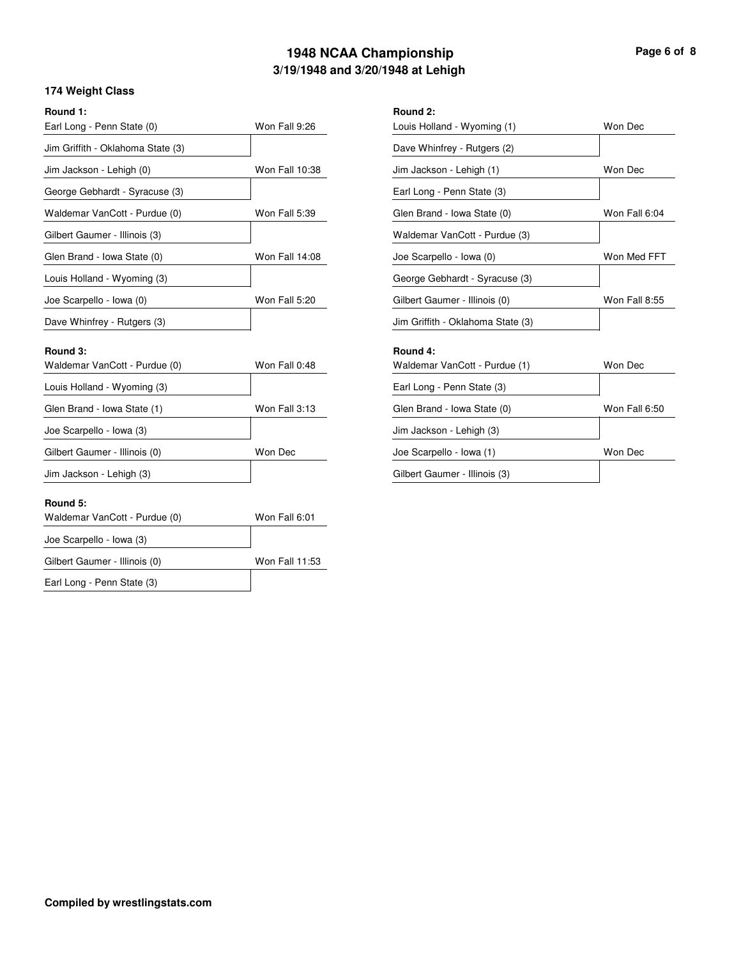## **3/19/1948 and 3/20/1948 at Lehigh 1948 NCAA Championship Page 6 of 8**

#### **174 Weight Class**

| Round 1: |  |
|----------|--|
|          |  |

| Round 1:                          |                | Round 2:    |
|-----------------------------------|----------------|-------------|
| Earl Long - Penn State (0)        | Won Fall 9:26  | Louis Holl  |
| Jim Griffith - Oklahoma State (3) |                | Dave Whi    |
| Jim Jackson - Lehigh (0)          | Won Fall 10:38 | Jim Jacks   |
| George Gebhardt - Syracuse (3)    |                | Earl Long   |
| Waldemar VanCott - Purdue (0)     | Won Fall 5:39  | Glen Brar   |
| Gilbert Gaumer - Illinois (3)     |                | Waldema     |
| Glen Brand - Iowa State (0)       | Won Fall 14:08 | Joe Scarp   |
| Louis Holland - Wyoming (3)       |                | George G    |
| Joe Scarpello - Iowa (0)          | Won Fall 5:20  | Gilbert Ga  |
| Dave Whinfrey - Rutgers (3)       |                | Jim Griffit |
|                                   |                |             |

| Earl Long - Penn State (0)        | Won Fall 9:26         | Louis Holland - Wyoming (1)       | Won Dec       |
|-----------------------------------|-----------------------|-----------------------------------|---------------|
| Jim Griffith - Oklahoma State (3) |                       | Dave Whinfrey - Rutgers (2)       |               |
| Jim Jackson - Lehigh (0)          | Won Fall 10:38        | Jim Jackson - Lehigh (1)          | Won Dec       |
| George Gebhardt - Syracuse (3)    |                       | Earl Long - Penn State (3)        |               |
| Waldemar VanCott - Purdue (0)     | Won Fall 5:39         | Glen Brand - Iowa State (0)       | Won Fall 6:04 |
| Gilbert Gaumer - Illinois (3)     |                       | Waldemar VanCott - Purdue (3)     |               |
| Glen Brand - Iowa State (0)       | <b>Won Fall 14:08</b> | Joe Scarpello - Iowa (0)          | Won Med FFT   |
| Louis Holland - Wyoming (3)       |                       | George Gebhardt - Syracuse (3)    |               |
| Joe Scarpello - Iowa (0)          | Won Fall 5:20         | Gilbert Gaumer - Illinois (0)     | Won Fall 8:55 |
| Dave Whinfrey - Rutgers (3)       |                       | Jim Griffith - Oklahoma State (3) |               |
| Round 3:                          |                       | Round 4:                          |               |
| Waldemar VanCott - Purdue (0)     | Won Fall 0:48         | Waldemar VanCott - Purdue (1)     | Won Dec       |
| Louis Holland - Wyoming (3)       |                       | Earl Long - Penn State (3)        |               |
| Glen Brand - Iowa State (1)       | Won Fall 3:13         | Glen Brand - Iowa State (0)       | Won Fall 6:50 |
| Joe Scarpello - Iowa (3)          |                       | Jim Jackson - Lehigh (3)          |               |
| Gilbert Gaumer - Illinois (0)     | Won Dec               | Joe Scarpello - Iowa (1)          | Won Dec       |

Gilbert Gaumer - Illinois (3)

| Waldemar VanCott - Purdue (0) | Won Fall 0:48 |
|-------------------------------|---------------|
| Louis Holland - Wyoming (3)   |               |
| Glen Brand - Iowa State (1)   | Won Fall 3:13 |
| Joe Scarpello - Iowa (3)      |               |
| Gilbert Gaumer - Illinois (0) | Won Dec       |
| Jim Jackson - Lehigh (3)      |               |

#### **Round 5:**

| Won Fall 6:01  |
|----------------|
|                |
| Won Fall 11:53 |
|                |
|                |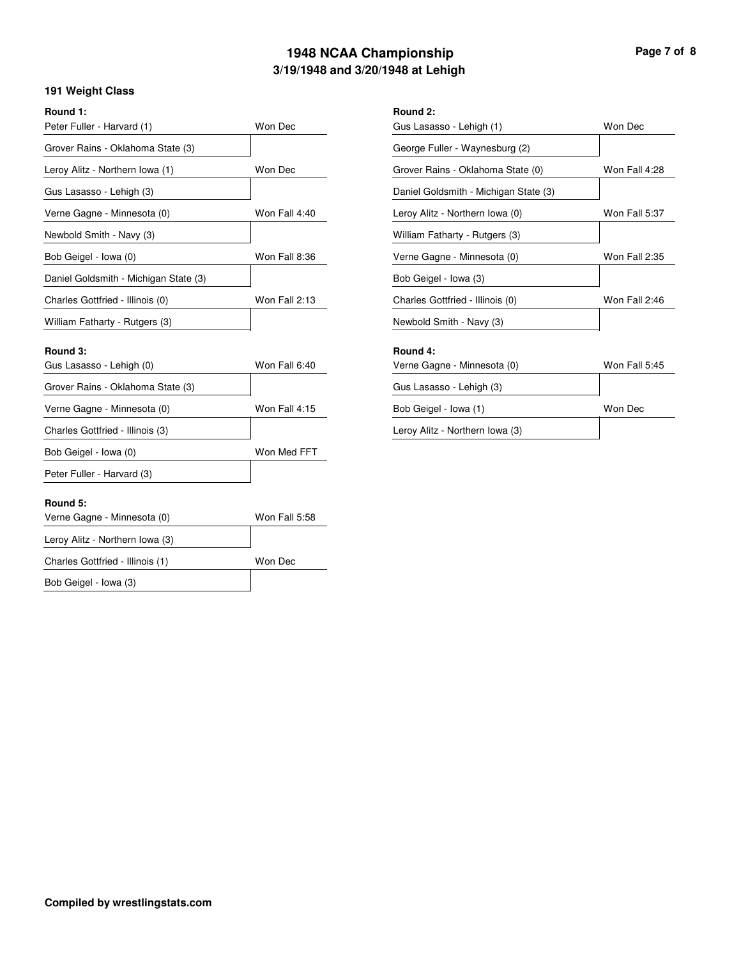## **3/19/1948 and 3/20/1948 at Lehigh 1948 NCAA Championship Page 7 of 8**

Won Dec

#### **191 Weight Class**

| Round 1: |  |
|----------|--|
|          |  |

| Round 1:                              |               | Round 2:         |
|---------------------------------------|---------------|------------------|
| Peter Fuller - Harvard (1)            | Won Dec       | Gus Lasa         |
| Grover Rains - Oklahoma State (3)     |               | George F         |
| Leroy Alitz - Northern Iowa (1)       | Won Dec       | Grover Ra        |
| Gus Lasasso - Lehigh (3)              |               | Daniel Go        |
| Verne Gagne - Minnesota (0)           | Won Fall 4:40 | Leroy Alit:      |
| Newbold Smith - Navy (3)              |               | William F        |
| Bob Geigel - Iowa (0)                 | Won Fall 8:36 | Verne Ga         |
| Daniel Goldsmith - Michigan State (3) |               | <b>Bob Geige</b> |
| Charles Gottfried - Illinois (0)      | Won Fall 2:13 | Charles G        |
| William Fatharty - Rutgers (3)        |               | Newbold \        |
|                                       |               |                  |

| Gus Lasasso - Lehigh (1)              | Won Dec       |
|---------------------------------------|---------------|
| George Fuller - Waynesburg (2)        |               |
| Grover Rains - Oklahoma State (0)     | Won Fall 4:28 |
| Daniel Goldsmith - Michigan State (3) |               |
| Leroy Alitz - Northern Iowa (0)       | Won Fall 5:37 |
| William Fatharty - Rutgers (3)        |               |
| Verne Gagne - Minnesota (0)           | Won Fall 2:35 |
| Bob Geigel - Iowa (3)                 |               |
| Charles Gottfried - Illinois (0)      | Won Fall 2:46 |
| Newbold Smith - Navy (3)              |               |
| Round 4:                              |               |
| Verne Gagne - Minnesota (0)           | Won Fall 5:45 |
|                                       |               |

#### **Round 3: Round 4:**  $G$ us Lasasso - Lehigh  $(0)$

| Gus Lasasso - Lehigh (0)          | Won Fall 6:40 |
|-----------------------------------|---------------|
| Grover Rains - Oklahoma State (3) |               |
| Verne Gagne - Minnesota (0)       | Won Fall 4:15 |
| Charles Gottfried - Illinois (3)  |               |
| Bob Geigel - Iowa (0)             | Won Med FFT   |
| Peter Fuller - Harvard (3)        |               |

# Gus Lasasso - Lehigh (3) Bob Geigel - Iowa (1)

Leroy Alitz - Northern Iowa (3)

#### **Round 5:**

| Verne Gagne - Minnesota (0)      | Won Fall 5:58 |
|----------------------------------|---------------|
| Leroy Alitz - Northern Iowa (3)  |               |
| Charles Gottfried - Illinois (1) | Won Dec       |
| Bob Geigel - Iowa (3)            |               |